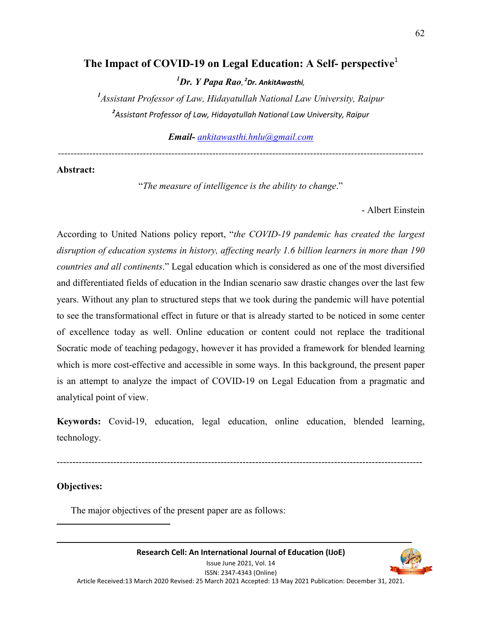# **The Impact of COVID-19 on Legal Education: A Self- perspective**<sup>1</sup>

*<sup>1</sup>Dr. Y Papa Rao, <sup>2</sup>Dr. AnkitAwasthi,*

<sup>1</sup> Assistant Professor of Law, Hidayatullah National Law University, Raipur *2 Assistant Professor of Law, Hidayatullah National Law University, Raipur*

*Email- ankitawasthi.hnlu@gmail.com*

*--------------------------------------------------------------------------------------------------------------------*

# **Abstract:**

"*The measure of intelligence is the ability to change*."

- Albert Einstein

According to United Nations policy report, "*the COVID-19 pandemic has created the largest disruption of education systems in history, affecting nearly 1.6 billion learners in more than 190 countries and all continents*." Legal education which is considered as one of the most diversified and differentiated fields of education in the Indian scenario saw drastic changes over the last few years. Without any plan to structured steps that we took during the pandemic will have potential to see the transformational effect in future or that is already started to be noticed in some center of excellence today as well. Online education or content could not replace the traditional Socratic mode of teaching pedagogy, however it has provided a framework for blended learning which is more cost-effective and accessible in some ways. In this background, the present paper is an attempt to analyze the impact of COVID-19 on Legal Education from a pragmatic and analytical point of view.

**Keywords:** Covid-19, education, legal education, online education, blended learning, technology.

--------------------------------------------------------------------------------------------------------------------

#### **Objectives:**

<u>.</u>

The major objectives of the present paper are as follows: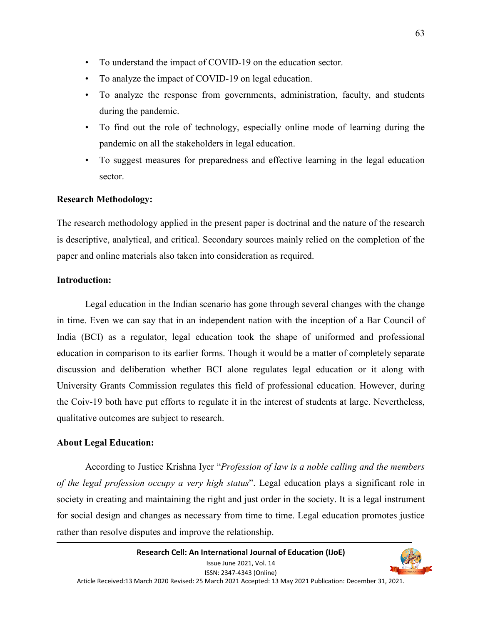- To understand the impact of COVID-19 on the education sector.
- To analyze the impact of COVID-19 on legal education.
- To analyze the response from governments, administration, faculty, and students during the pandemic.
- To find out the role of technology, especially online mode of learning during the pandemic on all the stakeholders in legal education.
- To suggest measures for preparedness and effective learning in the legal education sector.

### **Research Methodology:**

The research methodology applied in the present paper is doctrinal and the nature of the research is descriptive, analytical, and critical. Secondary sources mainly relied on the completion of the paper and online materials also taken into consideration as required.

### **Introduction:**

 Legal education in the Indian scenario has gone through several changes with the change in time. Even we can say that in an independent nation with the inception of a Bar Council of India (BCI) as a regulator, legal education took the shape of uniformed and professional education in comparison to its earlier forms. Though it would be a matter of completely separate discussion and deliberation whether BCI alone regulates legal education or it along with University Grants Commission regulates this field of professional education. However, during the Coiv-19 both have put efforts to regulate it in the interest of students at large. Nevertheless, qualitative outcomes are subject to research.

#### **About Legal Education:**

 According to Justice Krishna Iyer "*Profession of law is a noble calling and the members of the legal profession occupy a very high status*". Legal education plays a significant role in society in creating and maintaining the right and just order in the society. It is a legal instrument for social design and changes as necessary from time to time. Legal education promotes justice rather than resolve disputes and improve the relationship.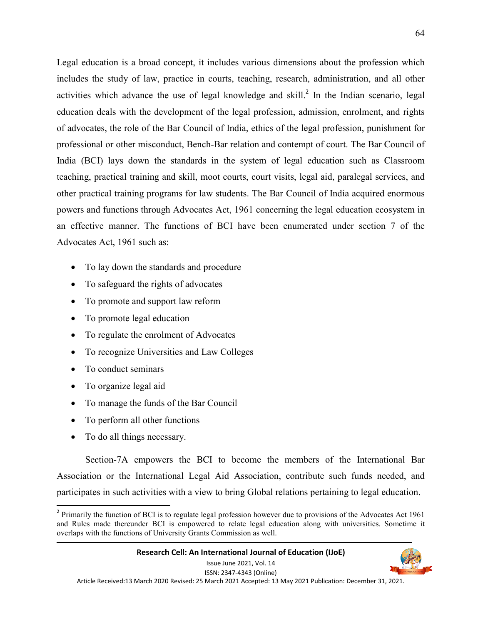Legal education is a broad concept, it includes various dimensions about the profession which includes the study of law, practice in courts, teaching, research, administration, and all other activities which advance the use of legal knowledge and skill. $^2$  In the Indian scenario, legal education deals with the development of the legal profession, admission, enrolment, and rights of advocates, the role of the Bar Council of India, ethics of the legal profession, punishment for professional or other misconduct, Bench-Bar relation and contempt of court. The Bar Council of India (BCI) lays down the standards in the system of legal education such as Classroom teaching, practical training and skill, moot courts, court visits, legal aid, paralegal services, and other practical training programs for law students. The Bar Council of India acquired enormous powers and functions through Advocates Act, 1961 concerning the legal education ecosystem in an effective manner. The functions of BCI have been enumerated under section 7 of the Advocates Act, 1961 such as:

- To lay down the standards and procedure
- To safeguard the rights of advocates
- To promote and support law reform
- To promote legal education
- To regulate the enrolment of Advocates
- To recognize Universities and Law Colleges
- To conduct seminars
- To organize legal aid
- To manage the funds of the Bar Council
- To perform all other functions
- To do all things necessary.

-

 Section-7A empowers the BCI to become the members of the International Bar Association or the International Legal Aid Association, contribute such funds needed, and participates in such activities with a view to bring Global relations pertaining to legal education.



 $2$  Primarily the function of BCI is to regulate legal profession however due to provisions of the Advocates Act 1961 and Rules made thereunder BCI is empowered to relate legal education along with universities. Sometime it overlaps with the functions of University Grants Commission as well.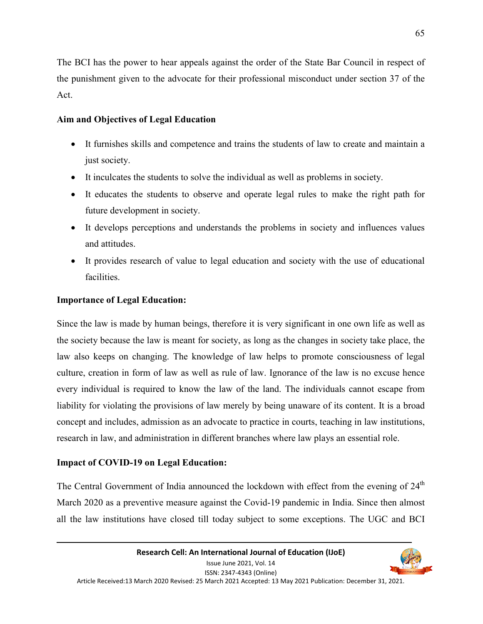The BCI has the power to hear appeals against the order of the State Bar Council in respect of the punishment given to the advocate for their professional misconduct under section 37 of the Act.

## **Aim and Objectives of Legal Education**

- It furnishes skills and competence and trains the students of law to create and maintain a just society.
- It inculcates the students to solve the individual as well as problems in society.
- It educates the students to observe and operate legal rules to make the right path for future development in society.
- It develops perceptions and understands the problems in society and influences values and attitudes.
- It provides research of value to legal education and society with the use of educational facilities.

### **Importance of Legal Education:**

Since the law is made by human beings, therefore it is very significant in one own life as well as the society because the law is meant for society, as long as the changes in society take place, the law also keeps on changing. The knowledge of law helps to promote consciousness of legal culture, creation in form of law as well as rule of law. Ignorance of the law is no excuse hence every individual is required to know the law of the land. The individuals cannot escape from liability for violating the provisions of law merely by being unaware of its content. It is a broad concept and includes, admission as an advocate to practice in courts, teaching in law institutions, research in law, and administration in different branches where law plays an essential role.

# **Impact of COVID-19 on Legal Education:**

The Central Government of India announced the lockdown with effect from the evening of  $24<sup>th</sup>$ March 2020 as a preventive measure against the Covid-19 pandemic in India. Since then almost all the law institutions have closed till today subject to some exceptions. The UGC and BCI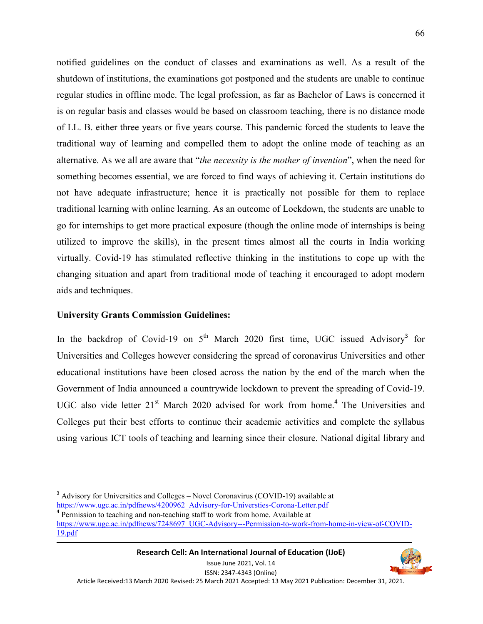notified guidelines on the conduct of classes and examinations as well. As a result of the shutdown of institutions, the examinations got postponed and the students are unable to continue regular studies in offline mode. The legal profession, as far as Bachelor of Laws is concerned it is on regular basis and classes would be based on classroom teaching, there is no distance mode of LL. B. either three years or five years course. This pandemic forced the students to leave the traditional way of learning and compelled them to adopt the online mode of teaching as an alternative. As we all are aware that "*the necessity is the mother of invention*", when the need for something becomes essential, we are forced to find ways of achieving it. Certain institutions do not have adequate infrastructure; hence it is practically not possible for them to replace traditional learning with online learning. As an outcome of Lockdown, the students are unable to go for internships to get more practical exposure (though the online mode of internships is being utilized to improve the skills), in the present times almost all the courts in India working virtually. Covid-19 has stimulated reflective thinking in the institutions to cope up with the changing situation and apart from traditional mode of teaching it encouraged to adopt modern aids and techniques.

#### **University Grants Commission Guidelines:**

-

In the backdrop of Covid-19 on  $5<sup>th</sup>$  March 2020 first time, UGC issued Advisory<sup>3</sup> for Universities and Colleges however considering the spread of coronavirus Universities and other educational institutions have been closed across the nation by the end of the march when the Government of India announced a countrywide lockdown to prevent the spreading of Covid-19. UGC also vide letter 21<sup>st</sup> March 2020 advised for work from home.<sup>4</sup> The Universities and Colleges put their best efforts to continue their academic activities and complete the syllabus using various ICT tools of teaching and learning since their closure. National digital library and

<sup>&</sup>lt;sup>3</sup> Advisory for Universities and Colleges – Novel Coronavirus (COVID-19) available at https://www.ugc.ac.in/pdfnews/4200962\_Advisory-for-Universties-Corona-Letter.pdf

<sup>&</sup>lt;sup>4</sup> Permission to teaching and non-teaching staff to work from home. Available at https://www.ugc.ac.in/pdfnews/7248697\_UGC-Advisory---Permission-to-work-from-home-in-view-of-COVID-19.pdf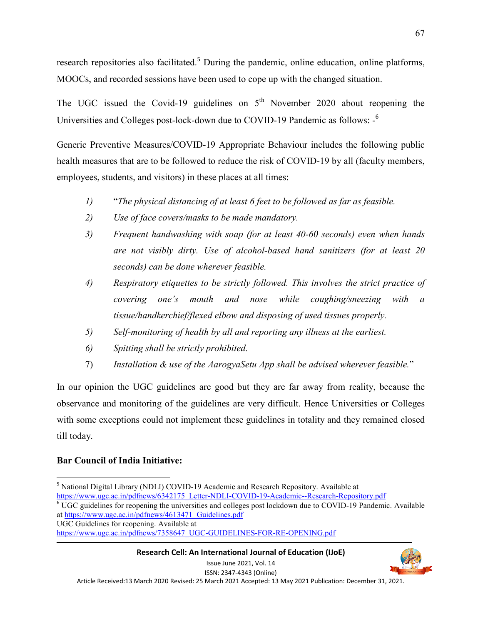research repositories also facilitated.<sup>5</sup> During the pandemic, online education, online platforms, MOOCs, and recorded sessions have been used to cope up with the changed situation.

The UGC issued the Covid-19 guidelines on  $5<sup>th</sup>$  November 2020 about reopening the Universities and Colleges post-lock-down due to COVID-19 Pandemic as follows: -<sup>6</sup>

Generic Preventive Measures/COVID-19 Appropriate Behaviour includes the following public health measures that are to be followed to reduce the risk of COVID-19 by all (faculty members, employees, students, and visitors) in these places at all times:

- *1)* "*The physical distancing of at least 6 feet to be followed as far as feasible.*
- *2) Use of face covers/masks to be made mandatory.*
- *3) Frequent handwashing with soap (for at least 40-60 seconds) even when hands are not visibly dirty. Use of alcohol-based hand sanitizers (for at least 20 seconds) can be done wherever feasible.*
- *4) Respiratory etiquettes to be strictly followed. This involves the strict practice of covering one's mouth and nose while coughing/sneezing with a tissue/handkerchief/flexed elbow and disposing of used tissues properly.*
- *5) Self-monitoring of health by all and reporting any illness at the earliest.*
- *6) Spitting shall be strictly prohibited.*
- 7) *Installation & use of the AarogyaSetu App shall be advised wherever feasible.*"

In our opinion the UGC guidelines are good but they are far away from reality, because the observance and monitoring of the guidelines are very difficult. Hence Universities or Colleges with some exceptions could not implement these guidelines in totality and they remained closed till today.

#### **Bar Council of India Initiative:**

at https://www.ugc.ac.in/pdfnews/4613471\_Guidelines.pdf UGC Guidelines for reopening. Available at

**Research Cell: An International Journal of Education (IJoE)**  Issue June 2021, Vol. 14



<sup>-</sup><sup>5</sup> National Digital Library (NDLI) COVID-19 Academic and Research Repository. Available at https://www.ugc.ac.in/pdfnews/6342175\_Letter-NDLI-COVID-19-Academic--Research-Repository.pdf <sup>6</sup> UGC guidelines for reopening the universities and colleges post lockdown due to COVID-19 Pandemic. Available

https://www.ugc.ac.in/pdfnews/7358647\_UGC-GUIDELINES-FOR-RE-OPENING.pdf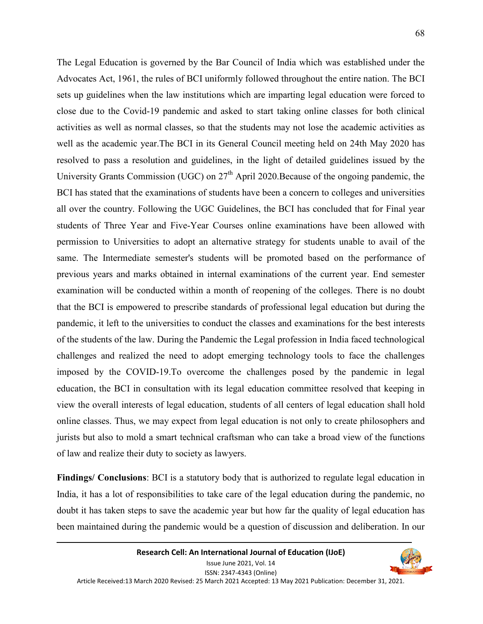The Legal Education is governed by the Bar Council of India which was established under the Advocates Act, 1961, the rules of BCI uniformly followed throughout the entire nation. The BCI sets up guidelines when the law institutions which are imparting legal education were forced to close due to the Covid-19 pandemic and asked to start taking online classes for both clinical activities as well as normal classes, so that the students may not lose the academic activities as well as the academic year.The BCI in its General Council meeting held on 24th May 2020 has resolved to pass a resolution and guidelines, in the light of detailed guidelines issued by the University Grants Commission (UGC) on  $27<sup>th</sup>$  April 2020. Because of the ongoing pandemic, the BCI has stated that the examinations of students have been a concern to colleges and universities all over the country. Following the UGC Guidelines, the BCI has concluded that for Final year students of Three Year and Five-Year Courses online examinations have been allowed with permission to Universities to adopt an alternative strategy for students unable to avail of the same. The Intermediate semester's students will be promoted based on the performance of previous years and marks obtained in internal examinations of the current year. End semester examination will be conducted within a month of reopening of the colleges. There is no doubt that the BCI is empowered to prescribe standards of professional legal education but during the pandemic, it left to the universities to conduct the classes and examinations for the best interests of the students of the law. During the Pandemic the Legal profession in India faced technological challenges and realized the need to adopt emerging technology tools to face the challenges imposed by the COVID-19.To overcome the challenges posed by the pandemic in legal education, the BCI in consultation with its legal education committee resolved that keeping in view the overall interests of legal education, students of all centers of legal education shall hold online classes. Thus, we may expect from legal education is not only to create philosophers and jurists but also to mold a smart technical craftsman who can take a broad view of the functions of law and realize their duty to society as lawyers.

**Findings/ Conclusions**: BCI is a statutory body that is authorized to regulate legal education in India, it has a lot of responsibilities to take care of the legal education during the pandemic, no doubt it has taken steps to save the academic year but how far the quality of legal education has been maintained during the pandemic would be a question of discussion and deliberation. In our